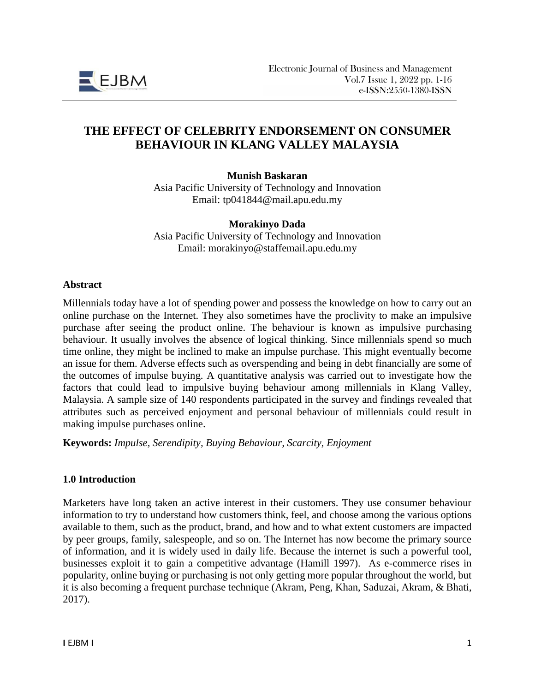

# **THE EFFECT OF CELEBRITY ENDORSEMENT ON CONSUMER BEHAVIOUR IN KLANG VALLEY MALAYSIA**

**Munish Baskaran**

Asia Pacific University of Technology and Innovation Email: tp041844@mail.apu.edu.my

#### **Morakinyo Dada**

Asia Pacific University of Technology and Innovation Email: morakinyo@staffemail.apu.edu.my

#### **Abstract**

Millennials today have a lot of spending power and possess the knowledge on how to carry out an online purchase on the Internet. They also sometimes have the proclivity to make an impulsive purchase after seeing the product online. The behaviour is known as impulsive purchasing behaviour. It usually involves the absence of logical thinking. Since millennials spend so much time online, they might be inclined to make an impulse purchase. This might eventually become an issue for them. Adverse effects such as overspending and being in debt financially are some of the outcomes of impulse buying. A quantitative analysis was carried out to investigate how the factors that could lead to impulsive buying behaviour among millennials in Klang Valley, Malaysia. A sample size of 140 respondents participated in the survey and findings revealed that attributes such as perceived enjoyment and personal behaviour of millennials could result in making impulse purchases online.

**Keywords:** *Impulse, Serendipity, Buying Behaviour, Scarcity, Enjoyment*

#### **1.0 Introduction**

Marketers have long taken an active interest in their customers. They use consumer behaviour information to try to understand how customers think, feel, and choose among the various options available to them, such as the product, brand, and how and to what extent customers are impacted by peer groups, family, salespeople, and so on. The Internet has now become the primary source of information, and it is widely used in daily life. Because the internet is such a powerful tool, businesses exploit it to gain a competitive advantage (Hamill 1997). As e-commerce rises in popularity, online buying or purchasing is not only getting more popular throughout the world, but it is also becoming a frequent purchase technique (Akram, Peng, Khan, Saduzai, Akram, & Bhati, 2017).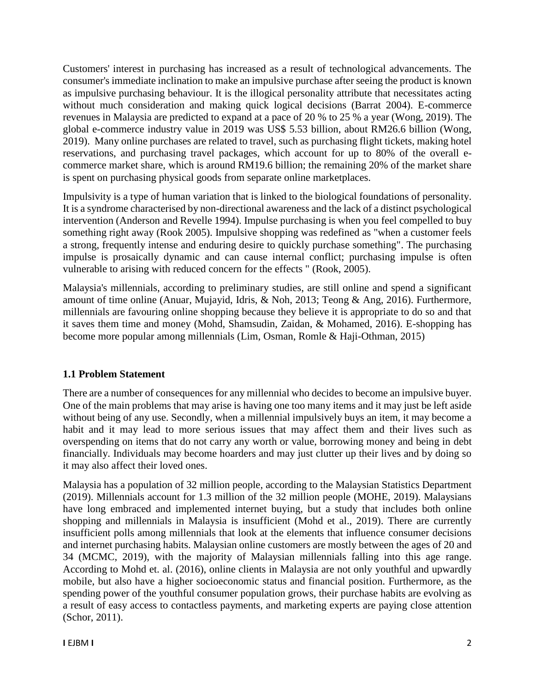Customers' interest in purchasing has increased as a result of technological advancements. The consumer's immediate inclination to make an impulsive purchase after seeing the product is known as impulsive purchasing behaviour. It is the illogical personality attribute that necessitates acting without much consideration and making quick logical decisions (Barrat 2004). E-commerce revenues in Malaysia are predicted to expand at a pace of 20 % to 25 % a year (Wong, 2019). The global e-commerce industry value in 2019 was US\$ 5.53 billion, about RM26.6 billion (Wong, 2019). Many online purchases are related to travel, such as purchasing flight tickets, making hotel reservations, and purchasing travel packages, which account for up to 80% of the overall ecommerce market share, which is around RM19.6 billion; the remaining 20% of the market share is spent on purchasing physical goods from separate online marketplaces.

Impulsivity is a type of human variation that is linked to the biological foundations of personality. It is a syndrome characterised by non-directional awareness and the lack of a distinct psychological intervention (Anderson and Revelle 1994). Impulse purchasing is when you feel compelled to buy something right away (Rook 2005). Impulsive shopping was redefined as "when a customer feels a strong, frequently intense and enduring desire to quickly purchase something". The purchasing impulse is prosaically dynamic and can cause internal conflict; purchasing impulse is often vulnerable to arising with reduced concern for the effects " (Rook, 2005).

Malaysia's millennials, according to preliminary studies, are still online and spend a significant amount of time online (Anuar, Mujayid, Idris, & Noh, 2013; Teong & Ang, 2016). Furthermore, millennials are favouring online shopping because they believe it is appropriate to do so and that it saves them time and money (Mohd, Shamsudin, Zaidan, & Mohamed, 2016). E-shopping has become more popular among millennials (Lim, Osman, Romle & Haji-Othman, 2015)

# **1.1 Problem Statement**

There are a number of consequences for any millennial who decides to become an impulsive buyer. One of the main problems that may arise is having one too many items and it may just be left aside without being of any use. Secondly, when a millennial impulsively buys an item, it may become a habit and it may lead to more serious issues that may affect them and their lives such as overspending on items that do not carry any worth or value, borrowing money and being in debt financially. Individuals may become hoarders and may just clutter up their lives and by doing so it may also affect their loved ones.

Malaysia has a population of 32 million people, according to the Malaysian Statistics Department (2019). Millennials account for 1.3 million of the 32 million people (MOHE, 2019). Malaysians have long embraced and implemented internet buying, but a study that includes both online shopping and millennials in Malaysia is insufficient (Mohd et al., 2019). There are currently insufficient polls among millennials that look at the elements that influence consumer decisions and internet purchasing habits. Malaysian online customers are mostly between the ages of 20 and 34 (MCMC, 2019), with the majority of Malaysian millennials falling into this age range. According to Mohd et. al. (2016), online clients in Malaysia are not only youthful and upwardly mobile, but also have a higher socioeconomic status and financial position. Furthermore, as the spending power of the youthful consumer population grows, their purchase habits are evolving as a result of easy access to contactless payments, and marketing experts are paying close attention (Schor, 2011).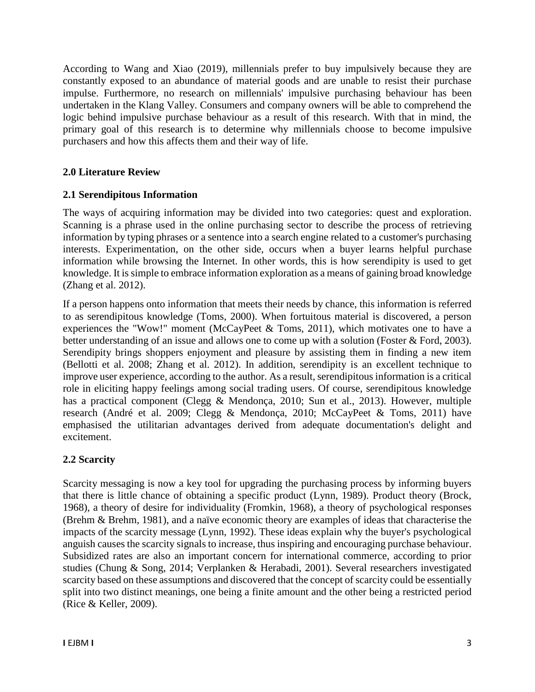According to Wang and Xiao (2019), millennials prefer to buy impulsively because they are constantly exposed to an abundance of material goods and are unable to resist their purchase impulse. Furthermore, no research on millennials' impulsive purchasing behaviour has been undertaken in the Klang Valley. Consumers and company owners will be able to comprehend the logic behind impulsive purchase behaviour as a result of this research. With that in mind, the primary goal of this research is to determine why millennials choose to become impulsive purchasers and how this affects them and their way of life.

## **2.0 Literature Review**

## **2.1 Serendipitous Information**

The ways of acquiring information may be divided into two categories: quest and exploration. Scanning is a phrase used in the online purchasing sector to describe the process of retrieving information by typing phrases or a sentence into a search engine related to a customer's purchasing interests. Experimentation, on the other side, occurs when a buyer learns helpful purchase information while browsing the Internet. In other words, this is how serendipity is used to get knowledge. It is simple to embrace information exploration as a means of gaining broad knowledge (Zhang et al. 2012).

If a person happens onto information that meets their needs by chance, this information is referred to as serendipitous knowledge (Toms, 2000). When fortuitous material is discovered, a person experiences the "Wow!" moment (McCayPeet & Toms, 2011), which motivates one to have a better understanding of an issue and allows one to come up with a solution (Foster & Ford, 2003). Serendipity brings shoppers enjoyment and pleasure by assisting them in finding a new item (Bellotti et al. 2008; Zhang et al. 2012). In addition, serendipity is an excellent technique to improve user experience, according to the author. As a result, serendipitous information is a critical role in eliciting happy feelings among social trading users. Of course, serendipitous knowledge has a practical component (Clegg & Mendonça, 2010; Sun et al., 2013). However, multiple research (André et al. 2009; Clegg & Mendonça, 2010; McCayPeet & Toms, 2011) have emphasised the utilitarian advantages derived from adequate documentation's delight and excitement.

## **2.2 Scarcity**

Scarcity messaging is now a key tool for upgrading the purchasing process by informing buyers that there is little chance of obtaining a specific product (Lynn, 1989). Product theory (Brock, 1968), a theory of desire for individuality (Fromkin, 1968), a theory of psychological responses (Brehm & Brehm, 1981), and a naïve economic theory are examples of ideas that characterise the impacts of the scarcity message (Lynn, 1992). These ideas explain why the buyer's psychological anguish causes the scarcity signals to increase, thus inspiring and encouraging purchase behaviour. Subsidized rates are also an important concern for international commerce, according to prior studies (Chung & Song, 2014; Verplanken & Herabadi, 2001). Several researchers investigated scarcity based on these assumptions and discovered that the concept of scarcity could be essentially split into two distinct meanings, one being a finite amount and the other being a restricted period (Rice & Keller, 2009).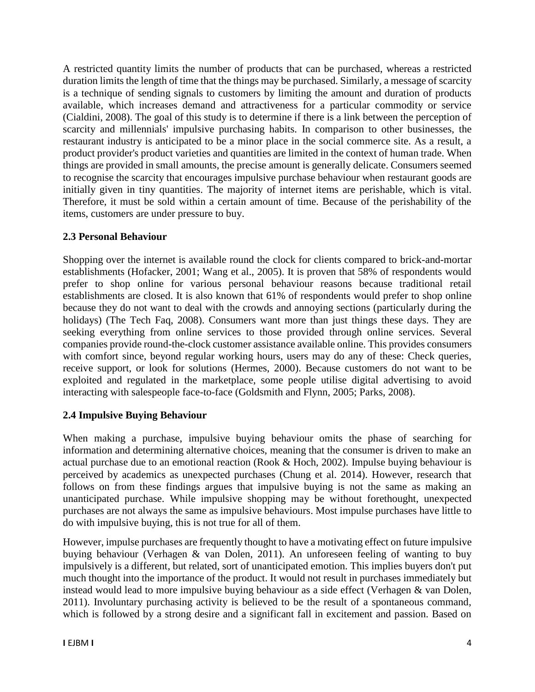A restricted quantity limits the number of products that can be purchased, whereas a restricted duration limits the length of time that the things may be purchased. Similarly, a message of scarcity is a technique of sending signals to customers by limiting the amount and duration of products available, which increases demand and attractiveness for a particular commodity or service (Cialdini, 2008). The goal of this study is to determine if there is a link between the perception of scarcity and millennials' impulsive purchasing habits. In comparison to other businesses, the restaurant industry is anticipated to be a minor place in the social commerce site. As a result, a product provider's product varieties and quantities are limited in the context of human trade. When things are provided in small amounts, the precise amount is generally delicate. Consumers seemed to recognise the scarcity that encourages impulsive purchase behaviour when restaurant goods are initially given in tiny quantities. The majority of internet items are perishable, which is vital. Therefore, it must be sold within a certain amount of time. Because of the perishability of the items, customers are under pressure to buy.

## **2.3 Personal Behaviour**

Shopping over the internet is available round the clock for clients compared to brick-and-mortar establishments (Hofacker, 2001; Wang et al., 2005). It is proven that 58% of respondents would prefer to shop online for various personal behaviour reasons because traditional retail establishments are closed. It is also known that 61% of respondents would prefer to shop online because they do not want to deal with the crowds and annoying sections (particularly during the holidays) (The Tech Faq, 2008). Consumers want more than just things these days. They are seeking everything from online services to those provided through online services. Several companies provide round-the-clock customer assistance available online. This provides consumers with comfort since, beyond regular working hours, users may do any of these: Check queries, receive support, or look for solutions (Hermes, 2000). Because customers do not want to be exploited and regulated in the marketplace, some people utilise digital advertising to avoid interacting with salespeople face-to-face (Goldsmith and Flynn, 2005; Parks, 2008).

## **2.4 Impulsive Buying Behaviour**

When making a purchase, impulsive buying behaviour omits the phase of searching for information and determining alternative choices, meaning that the consumer is driven to make an actual purchase due to an emotional reaction (Rook & Hoch, 2002). Impulse buying behaviour is perceived by academics as unexpected purchases (Chung et al. 2014). However, research that follows on from these findings argues that impulsive buying is not the same as making an unanticipated purchase. While impulsive shopping may be without forethought, unexpected purchases are not always the same as impulsive behaviours. Most impulse purchases have little to do with impulsive buying, this is not true for all of them.

However, impulse purchases are frequently thought to have a motivating effect on future impulsive buying behaviour (Verhagen & van Dolen, 2011). An unforeseen feeling of wanting to buy impulsively is a different, but related, sort of unanticipated emotion. This implies buyers don't put much thought into the importance of the product. It would not result in purchases immediately but instead would lead to more impulsive buying behaviour as a side effect (Verhagen & van Dolen, 2011). Involuntary purchasing activity is believed to be the result of a spontaneous command, which is followed by a strong desire and a significant fall in excitement and passion. Based on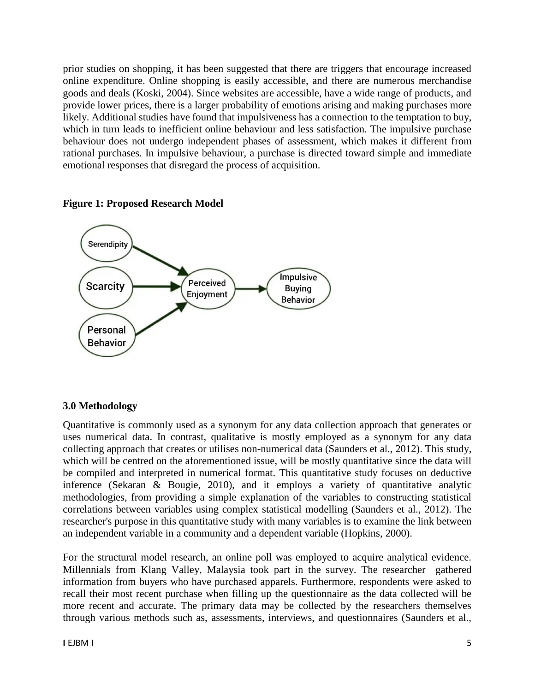prior studies on shopping, it has been suggested that there are triggers that encourage increased online expenditure. Online shopping is easily accessible, and there are numerous merchandise goods and deals (Koski, 2004). Since websites are accessible, have a wide range of products, and provide lower prices, there is a larger probability of emotions arising and making purchases more likely. Additional studies have found that impulsiveness has a connection to the temptation to buy, which in turn leads to inefficient online behaviour and less satisfaction. The impulsive purchase behaviour does not undergo independent phases of assessment, which makes it different from rational purchases. In impulsive behaviour, a purchase is directed toward simple and immediate emotional responses that disregard the process of acquisition.

## **Figure 1: Proposed Research Model**



# **3.0 Methodology**

Quantitative is commonly used as a synonym for any data collection approach that generates or uses numerical data. In contrast, qualitative is mostly employed as a synonym for any data collecting approach that creates or utilises non-numerical data (Saunders et al., 2012). This study, which will be centred on the aforementioned issue, will be mostly quantitative since the data will be compiled and interpreted in numerical format. This quantitative study focuses on deductive inference (Sekaran & Bougie, 2010), and it employs a variety of quantitative analytic methodologies, from providing a simple explanation of the variables to constructing statistical correlations between variables using complex statistical modelling (Saunders et al., 2012). The researcher's purpose in this quantitative study with many variables is to examine the link between an independent variable in a community and a dependent variable (Hopkins, 2000).

For the structural model research, an online poll was employed to acquire analytical evidence. Millennials from Klang Valley, Malaysia took part in the survey. The researcher gathered information from buyers who have purchased apparels. Furthermore, respondents were asked to recall their most recent purchase when filling up the questionnaire as the data collected will be more recent and accurate. The primary data may be collected by the researchers themselves through various methods such as, assessments, interviews, and questionnaires (Saunders et al.,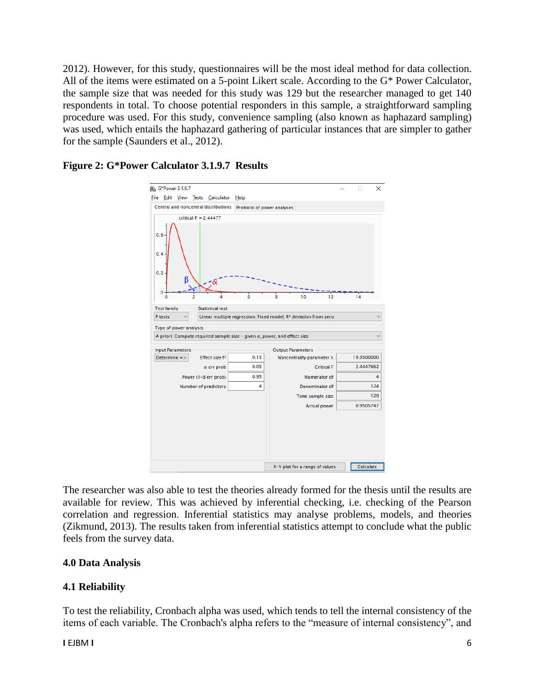2012). However, for this study, questionnaires will be the most ideal method for data collection. All of the items were estimated on a 5-point Likert scale. According to the G\* Power Calculator, the sample size that was needed for this study was 129 but the researcher managed to get 140 respondents in total. To choose potential responders in this sample, a straightforward sampling procedure was used. For this study, convenience sampling (also known as haphazard sampling) was used, which entails the haphazard gathering of particular instances that are simpler to gather for the sample (Saunders et al., 2012).

### **Figure 2: G\*Power Calculator 3.1.9.7 Results**



The researcher was also able to test the theories already formed for the thesis until the results are available for review. This was achieved by inferential checking, i.e. checking of the Pearson correlation and regression. Inferential statistics may analyse problems, models, and theories (Zikmund, 2013). The results taken from inferential statistics attempt to conclude what the public feels from the survey data.

## **4.0 Data Analysis**

## **4.1 Reliability**

To test the reliability, Cronbach alpha was used, which tends to tell the internal consistency of the items of each variable. The Cronbach's alpha refers to the "measure of internal consistency", and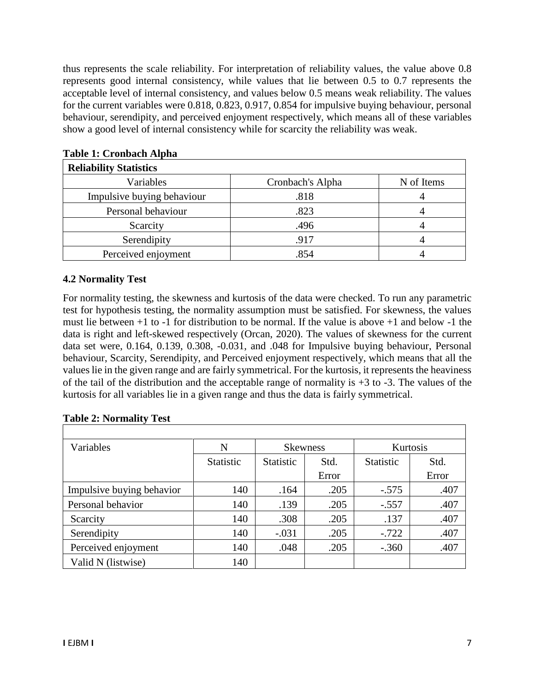thus represents the scale reliability. For interpretation of reliability values, the value above 0.8 represents good internal consistency, while values that lie between 0.5 to 0.7 represents the acceptable level of internal consistency, and values below 0.5 means weak reliability. The values for the current variables were 0.818, 0.823, 0.917, 0.854 for impulsive buying behaviour, personal behaviour, serendipity, and perceived enjoyment respectively, which means all of these variables show a good level of internal consistency while for scarcity the reliability was weak.

| <b>Reliability Statistics</b> |                  |            |  |  |  |  |
|-------------------------------|------------------|------------|--|--|--|--|
| Variables                     | Cronbach's Alpha | N of Items |  |  |  |  |
| Impulsive buying behaviour    | .818             |            |  |  |  |  |
| Personal behaviour            | .823             |            |  |  |  |  |
| Scarcity                      | .496             |            |  |  |  |  |
| Serendipity                   | .917             |            |  |  |  |  |
| Perceived enjoyment           | .854             |            |  |  |  |  |

## **Table 1: Cronbach Alpha**

# **4.2 Normality Test**

For normality testing, the skewness and kurtosis of the data were checked. To run any parametric test for hypothesis testing, the normality assumption must be satisfied. For skewness, the values must lie between +1 to -1 for distribution to be normal. If the value is above +1 and below -1 the data is right and left-skewed respectively (Orcan, 2020). The values of skewness for the current data set were, 0.164, 0.139, 0.308, -0.031, and .048 for Impulsive buying behaviour, Personal behaviour, Scarcity, Serendipity, and Perceived enjoyment respectively, which means that all the values lie in the given range and are fairly symmetrical. For the kurtosis, it represents the heaviness of the tail of the distribution and the acceptable range of normality is  $+3$  to  $-3$ . The values of the kurtosis for all variables lie in a given range and thus the data is fairly symmetrical.

| Variables                 | N                | <b>Skewness</b>  |       | Kurtosis         |       |
|---------------------------|------------------|------------------|-------|------------------|-------|
|                           | <b>Statistic</b> | <b>Statistic</b> | Std.  | <b>Statistic</b> | Std.  |
|                           |                  |                  | Error |                  | Error |
| Impulsive buying behavior | 140              | .164             | .205  | $-.575$          | .407  |
| Personal behavior         | 140              | .139             | .205  | $-.557$          | .407  |
| Scarcity                  | 140              | .308             | .205  | .137             | .407  |
| Serendipity               | 140              | $-.031$          | .205  | $-.722$          | .407  |
| Perceived enjoyment       | 140              | .048             | .205  | $-.360$          | .407  |
| Valid N (listwise)        | 140              |                  |       |                  |       |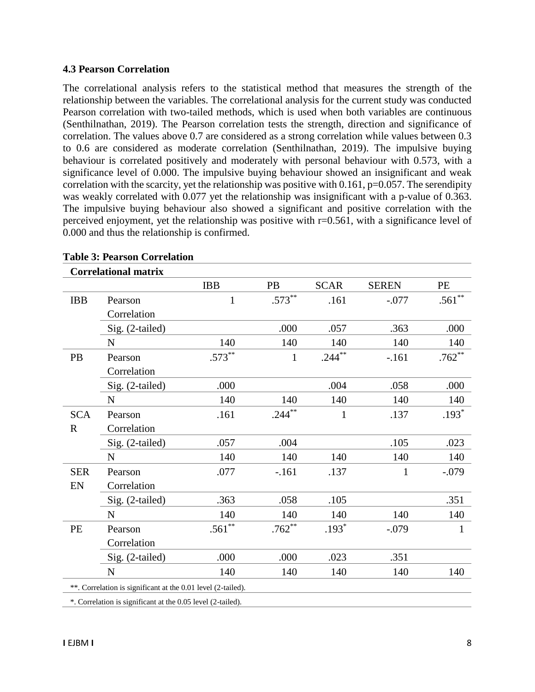#### **4.3 Pearson Correlation**

The correlational analysis refers to the statistical method that measures the strength of the relationship between the variables. The correlational analysis for the current study was conducted Pearson correlation with two-tailed methods, which is used when both variables are continuous (Senthilnathan, 2019). The Pearson correlation tests the strength, direction and significance of correlation. The values above 0.7 are considered as a strong correlation while values between 0.3 to 0.6 are considered as moderate correlation (Senthilnathan, 2019). The impulsive buying behaviour is correlated positively and moderately with personal behaviour with 0.573, with a significance level of 0.000. The impulsive buying behaviour showed an insignificant and weak correlation with the scarcity, yet the relationship was positive with 0.161,  $p=0.057$ . The serendipity was weakly correlated with 0.077 yet the relationship was insignificant with a p-value of 0.363. The impulsive buying behaviour also showed a significant and positive correlation with the perceived enjoyment, yet the relationship was positive with r=0.561, with a significance level of 0.000 and thus the relationship is confirmed.

|             | <b>Correlational matrix</b>                                  |            |              |              |              |           |
|-------------|--------------------------------------------------------------|------------|--------------|--------------|--------------|-----------|
|             |                                                              | <b>IBB</b> | PB           | <b>SCAR</b>  | <b>SEREN</b> | <b>PE</b> |
| <b>IBB</b>  | Pearson                                                      | 1          | $.573***$    | .161         | $-.077$      | $.561***$ |
|             | Correlation                                                  |            |              |              |              |           |
|             | Sig. (2-tailed)                                              |            | .000         | .057         | .363         | .000      |
|             | ${\bf N}$                                                    | 140        | 140          | 140          | 140          | 140       |
| PB          | Pearson                                                      | $.573**$   | $\mathbf{1}$ | $.244***$    | $-161$       | $.762**$  |
|             | Correlation                                                  |            |              |              |              |           |
|             | Sig. (2-tailed)                                              | .000       |              | .004         | .058         | .000      |
|             | $\mathbf N$                                                  | 140        | 140          | 140          | 140          | 140       |
| <b>SCA</b>  | Pearson                                                      | .161       | $.244***$    | $\mathbf{1}$ | .137         | $.193*$   |
| $\mathbf R$ | Correlation                                                  |            |              |              |              |           |
|             | Sig. (2-tailed)                                              | .057       | .004         |              | .105         | .023      |
|             | N                                                            | 140        | 140          | 140          | 140          | 140       |
| <b>SER</b>  | Pearson                                                      | .077       | $-.161$      | .137         | 1            | $-.079$   |
| EN          | Correlation                                                  |            |              |              |              |           |
|             | Sig. (2-tailed)                                              | .363       | .058         | .105         |              | .351      |
|             | N                                                            | 140        | 140          | 140          | 140          | 140       |
| PE          | Pearson                                                      | $.561**$   | $.762**$     | $.193*$      | $-.079$      | 1         |
|             | Correlation                                                  |            |              |              |              |           |
|             | Sig. (2-tailed)                                              | .000       | .000         | .023         | .351         |           |
|             | $\mathbf N$                                                  | 140        | 140          | 140          | 140          | 140       |
|             | **. Correlation is significant at the 0.01 level (2-tailed). |            |              |              |              |           |
|             | *. Correlation is significant at the 0.05 level (2-tailed).  |            |              |              |              |           |

#### **Table 3: Pearson Correlation**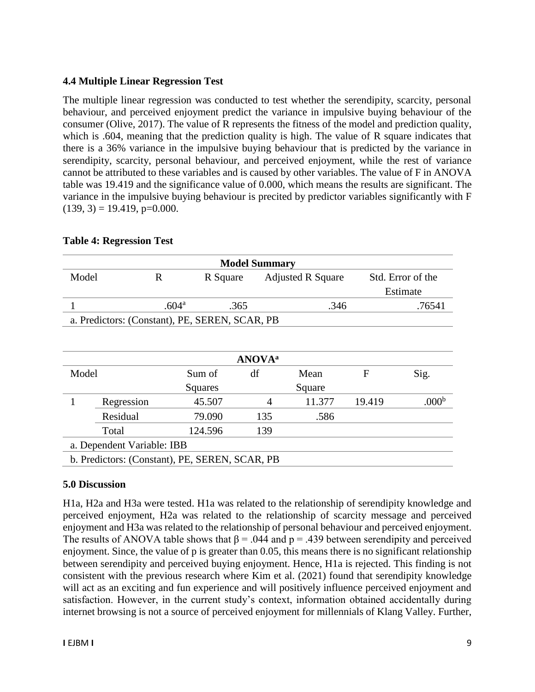### **4.4 Multiple Linear Regression Test**

The multiple linear regression was conducted to test whether the serendipity, scarcity, personal behaviour, and perceived enjoyment predict the variance in impulsive buying behaviour of the consumer (Olive, 2017). The value of R represents the fitness of the model and prediction quality, which is .604, meaning that the prediction quality is high. The value of R square indicates that there is a 36% variance in the impulsive buying behaviour that is predicted by the variance in serendipity, scarcity, personal behaviour, and perceived enjoyment, while the rest of variance cannot be attributed to these variables and is caused by other variables. The value of F in ANOVA table was 19.419 and the significance value of 0.000, which means the results are significant. The variance in the impulsive buying behaviour is precited by predictor variables significantly with F  $(139, 3) = 19.419$ , p=0.000.

| <b>Model Summary</b>                           |                                                |                   |          |     |                          |        |                   |  |
|------------------------------------------------|------------------------------------------------|-------------------|----------|-----|--------------------------|--------|-------------------|--|
| Model                                          |                                                | $\mathbf R$       | R Square |     | <b>Adjusted R Square</b> |        | Std. Error of the |  |
|                                                |                                                |                   |          |     |                          |        | Estimate          |  |
|                                                |                                                | .604 <sup>a</sup> | .365     |     | .346                     |        | .76541            |  |
| a. Predictors: (Constant), PE, SEREN, SCAR, PB |                                                |                   |          |     |                          |        |                   |  |
|                                                |                                                |                   |          |     |                          |        |                   |  |
|                                                |                                                |                   |          |     |                          |        |                   |  |
| <b>ANOVA</b> <sup>a</sup>                      |                                                |                   |          |     |                          |        |                   |  |
| Model                                          |                                                |                   | Sum of   | df  | Mean                     | F      | Sig.              |  |
|                                                |                                                |                   | Squares  |     | Square                   |        |                   |  |
| 1                                              | Regression                                     |                   | 45.507   | 4   | 11.377                   | 19.419 | .000 <sup>b</sup> |  |
|                                                | Residual                                       |                   | 79.090   | 135 | .586                     |        |                   |  |
|                                                | Total                                          |                   | 124.596  | 139 |                          |        |                   |  |
|                                                | a. Dependent Variable: IBB                     |                   |          |     |                          |        |                   |  |
|                                                | b. Predictors: (Constant), PE, SEREN, SCAR, PB |                   |          |     |                          |        |                   |  |

#### **Table 4: Regression Test**

#### **5.0 Discussion**

H1a, H2a and H3a were tested. H1a was related to the relationship of serendipity knowledge and perceived enjoyment, H2a was related to the relationship of scarcity message and perceived enjoyment and H3a was related to the relationship of personal behaviour and perceived enjoyment. The results of ANOVA table shows that  $\beta$  = .044 and p = .439 between serendipity and perceived enjoyment. Since, the value of p is greater than 0.05, this means there is no significant relationship between serendipity and perceived buying enjoyment. Hence, H1a is rejected. This finding is not consistent with the previous research where Kim et al. (2021) found that serendipity knowledge will act as an exciting and fun experience and will positively influence perceived enjoyment and satisfaction. However, in the current study's context, information obtained accidentally during internet browsing is not a source of perceived enjoyment for millennials of Klang Valley. Further,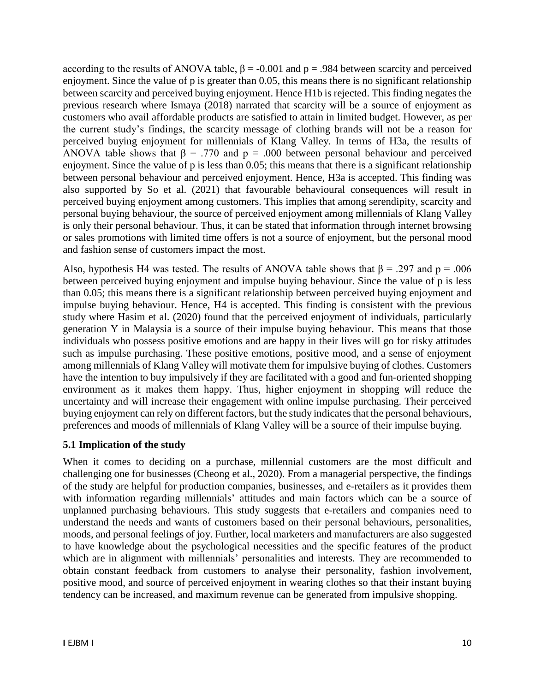according to the results of ANOVA table,  $\beta$  = -0.001 and p = .984 between scarcity and perceived enjoyment. Since the value of p is greater than 0.05, this means there is no significant relationship between scarcity and perceived buying enjoyment. Hence H1b is rejected. This finding negates the previous research where Ismaya (2018) narrated that scarcity will be a source of enjoyment as customers who avail affordable products are satisfied to attain in limited budget. However, as per the current study's findings, the scarcity message of clothing brands will not be a reason for perceived buying enjoyment for millennials of Klang Valley. In terms of H3a, the results of ANOVA table shows that  $\beta = .770$  and  $p = .000$  between personal behaviour and perceived enjoyment. Since the value of p is less than 0.05; this means that there is a significant relationship between personal behaviour and perceived enjoyment. Hence, H3a is accepted. This finding was also supported by So et al. (2021) that favourable behavioural consequences will result in perceived buying enjoyment among customers. This implies that among serendipity, scarcity and personal buying behaviour, the source of perceived enjoyment among millennials of Klang Valley is only their personal behaviour. Thus, it can be stated that information through internet browsing or sales promotions with limited time offers is not a source of enjoyment, but the personal mood and fashion sense of customers impact the most.

Also, hypothesis H4 was tested. The results of ANOVA table shows that  $\beta$  = .297 and p = .006 between perceived buying enjoyment and impulse buying behaviour. Since the value of p is less than 0.05; this means there is a significant relationship between perceived buying enjoyment and impulse buying behaviour. Hence, H4 is accepted. This finding is consistent with the previous study where Hasim et al. (2020) found that the perceived enjoyment of individuals, particularly generation Y in Malaysia is a source of their impulse buying behaviour. This means that those individuals who possess positive emotions and are happy in their lives will go for risky attitudes such as impulse purchasing. These positive emotions, positive mood, and a sense of enjoyment among millennials of Klang Valley will motivate them for impulsive buying of clothes. Customers have the intention to buy impulsively if they are facilitated with a good and fun-oriented shopping environment as it makes them happy. Thus, higher enjoyment in shopping will reduce the uncertainty and will increase their engagement with online impulse purchasing. Their perceived buying enjoyment can rely on different factors, but the study indicates that the personal behaviours, preferences and moods of millennials of Klang Valley will be a source of their impulse buying.

# **5.1 Implication of the study**

When it comes to deciding on a purchase, millennial customers are the most difficult and challenging one for businesses (Cheong et al., 2020). From a managerial perspective, the findings of the study are helpful for production companies, businesses, and e-retailers as it provides them with information regarding millennials' attitudes and main factors which can be a source of unplanned purchasing behaviours. This study suggests that e-retailers and companies need to understand the needs and wants of customers based on their personal behaviours, personalities, moods, and personal feelings of joy. Further, local marketers and manufacturers are also suggested to have knowledge about the psychological necessities and the specific features of the product which are in alignment with millennials' personalities and interests. They are recommended to obtain constant feedback from customers to analyse their personality, fashion involvement, positive mood, and source of perceived enjoyment in wearing clothes so that their instant buying tendency can be increased, and maximum revenue can be generated from impulsive shopping.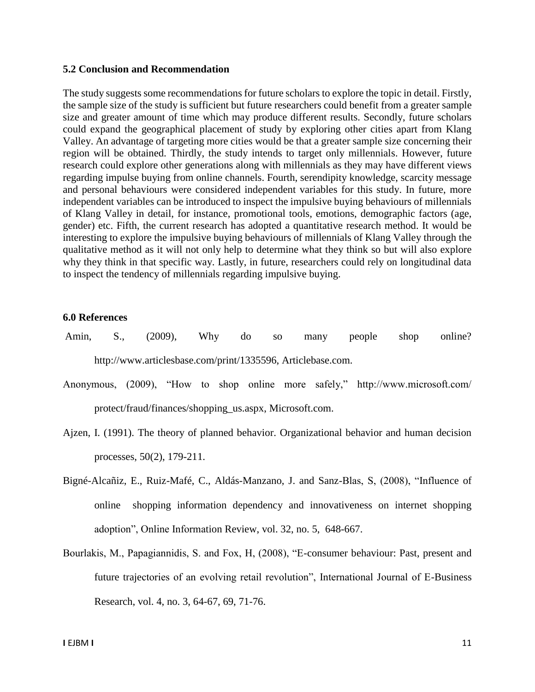#### **5.2 Conclusion and Recommendation**

The study suggests some recommendations for future scholars to explore the topic in detail. Firstly, the sample size of the study is sufficient but future researchers could benefit from a greater sample size and greater amount of time which may produce different results. Secondly, future scholars could expand the geographical placement of study by exploring other cities apart from Klang Valley. An advantage of targeting more cities would be that a greater sample size concerning their region will be obtained. Thirdly, the study intends to target only millennials. However, future research could explore other generations along with millennials as they may have different views regarding impulse buying from online channels. Fourth, serendipity knowledge, scarcity message and personal behaviours were considered independent variables for this study. In future, more independent variables can be introduced to inspect the impulsive buying behaviours of millennials of Klang Valley in detail, for instance, promotional tools, emotions, demographic factors (age, gender) etc. Fifth, the current research has adopted a quantitative research method. It would be interesting to explore the impulsive buying behaviours of millennials of Klang Valley through the qualitative method as it will not only help to determine what they think so but will also explore why they think in that specific way. Lastly, in future, researchers could rely on longitudinal data to inspect the tendency of millennials regarding impulsive buying.

#### **6.0 References**

- Amin, S., (2009), Why do so many people shop online? http://www.articlesbase.com/print/1335596, Articlebase.com.
- Anonymous, (2009), "How to shop online more safely," http://www.microsoft.com/ protect/fraud/finances/shopping\_us.aspx, Microsoft.com.
- Ajzen, I. (1991). The theory of planned behavior. Organizational behavior and human decision processes, 50(2), 179-211.
- Bigné-Alcañiz, E., Ruiz-Mafé, C., Aldás-Manzano, J. and Sanz-Blas, S, (2008), "Influence of online shopping information dependency and innovativeness on internet shopping adoption", Online Information Review, vol. 32, no. 5, 648-667.
- Bourlakis, M., Papagiannidis, S. and Fox, H, (2008), "E-consumer behaviour: Past, present and future trajectories of an evolving retail revolution", International Journal of E-Business Research, vol. 4, no. 3, 64-67, 69, 71-76.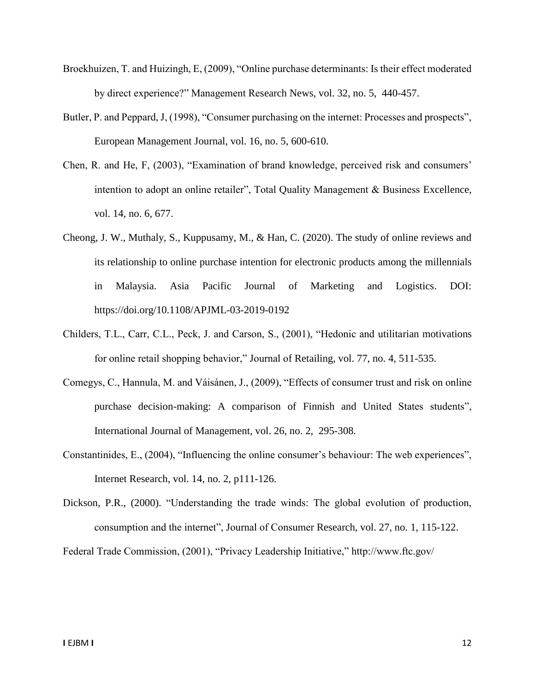- Broekhuizen, T. and Huizingh, E, (2009), "Online purchase determinants: Is their effect moderated by direct experience?" Management Research News, vol. 32, no. 5, 440-457.
- Butler, P. and Peppard, J, (1998), "Consumer purchasing on the internet: Processes and prospects", European Management Journal, vol. 16, no. 5, 600-610.
- Chen, R. and He, F, (2003), "Examination of brand knowledge, perceived risk and consumers' intention to adopt an online retailer", Total Quality Management & Business Excellence, vol. 14, no. 6, 677.
- Cheong, J. W., Muthaly, S., Kuppusamy, M., & Han, C. (2020). The study of online reviews and its relationship to online purchase intention for electronic products among the millennials in Malaysia. Asia Pacific Journal of Marketing and Logistics. DOI: https://doi.org/10.1108/APJML-03-2019-0192
- Childers, T.L., Carr, C.L., Peck, J. and Carson, S., (2001), "Hedonic and utilitarian motivations for online retail shopping behavior," Journal of Retailing, vol. 77, no. 4, 511-535.
- Comegys, C., Hannula, M. and Váisánen, J., (2009), "Effects of consumer trust and risk on online purchase decision-making: A comparison of Finnish and United States students", International Journal of Management, vol. 26, no. 2, 295-308.
- Constantinides, E., (2004), "Influencing the online consumer's behaviour: The web experiences", Internet Research, vol. 14, no. 2, p111-126.
- Dickson, P.R., (2000). "Understanding the trade winds: The global evolution of production, consumption and the internet", Journal of Consumer Research, vol. 27, no. 1, 115-122.

Federal Trade Commission, (2001), "Privacy Leadership Initiative," http://www.ftc.gov/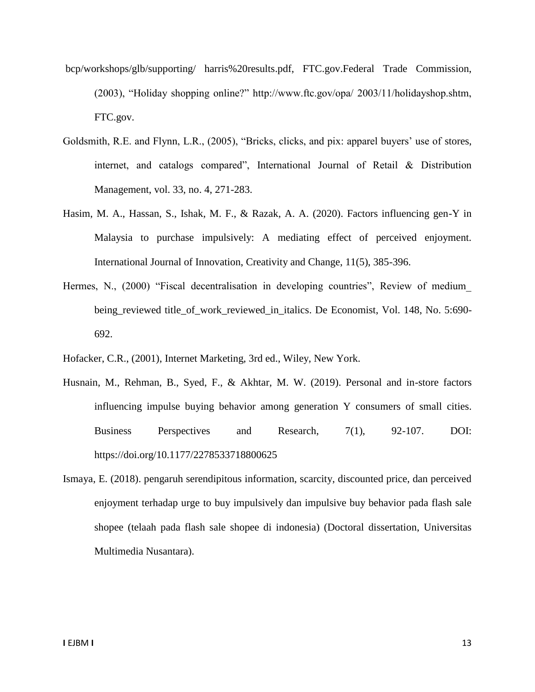- bcp/workshops/glb/supporting/ harris%20results.pdf, FTC.gov.Federal Trade Commission, (2003), "Holiday shopping online?" http://www.ftc.gov/opa/ 2003/11/holidayshop.shtm, FTC.gov.
- Goldsmith, R.E. and Flynn, L.R., (2005), "Bricks, clicks, and pix: apparel buyers' use of stores, internet, and catalogs compared", International Journal of Retail & Distribution Management, vol. 33, no. 4, 271-283.
- Hasim, M. A., Hassan, S., Ishak, M. F., & Razak, A. A. (2020). Factors influencing gen-Y in Malaysia to purchase impulsively: A mediating effect of perceived enjoyment. International Journal of Innovation, Creativity and Change, 11(5), 385-396.
- Hermes, N., (2000) "Fiscal decentralisation in developing countries", Review of medium being\_reviewed title\_of\_work\_reviewed\_in\_italics. De Economist, Vol. 148, No. 5:690- 692.
- Hofacker, C.R., (2001), Internet Marketing, 3rd ed., Wiley, New York.
- Husnain, M., Rehman, B., Syed, F., & Akhtar, M. W. (2019). Personal and in-store factors influencing impulse buying behavior among generation Y consumers of small cities. Business Perspectives and Research, 7(1), 92-107. DOI: https://doi.org/10.1177/2278533718800625
- Ismaya, E. (2018). pengaruh serendipitous information, scarcity, discounted price, dan perceived enjoyment terhadap urge to buy impulsively dan impulsive buy behavior pada flash sale shopee (telaah pada flash sale shopee di indonesia) (Doctoral dissertation, Universitas Multimedia Nusantara).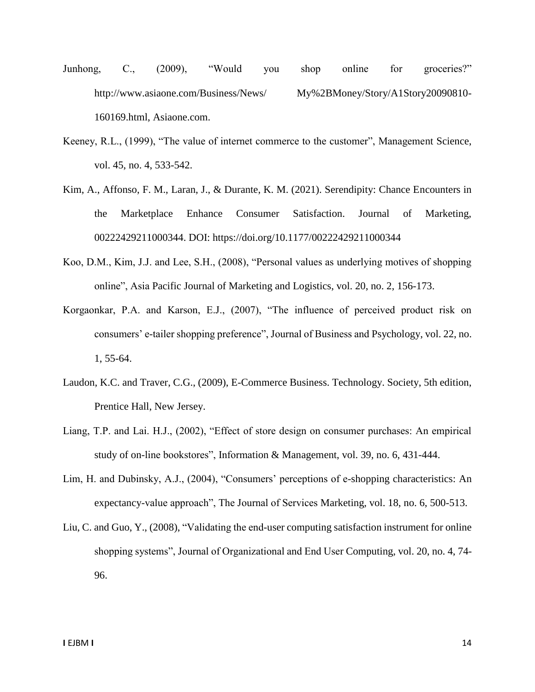- Junhong, C., (2009), "Would you shop online for groceries?" http://www.asiaone.com/Business/News/ My%2BMoney/Story/A1Story20090810- 160169.html, Asiaone.com.
- Keeney, R.L., (1999), "The value of internet commerce to the customer", Management Science, vol. 45, no. 4, 533-542.
- Kim, A., Affonso, F. M., Laran, J., & Durante, K. M. (2021). Serendipity: Chance Encounters in the Marketplace Enhance Consumer Satisfaction. Journal of Marketing, 00222429211000344. DOI: https://doi.org/10.1177/00222429211000344
- Koo, D.M., Kim, J.J. and Lee, S.H., (2008), "Personal values as underlying motives of shopping online", Asia Pacific Journal of Marketing and Logistics, vol. 20, no. 2, 156-173.
- Korgaonkar, P.A. and Karson, E.J., (2007), "The influence of perceived product risk on consumers' e-tailer shopping preference", Journal of Business and Psychology, vol. 22, no. 1, 55-64.
- Laudon, K.C. and Traver, C.G., (2009), E-Commerce Business. Technology. Society, 5th edition, Prentice Hall, New Jersey.
- Liang, T.P. and Lai. H.J., (2002), "Effect of store design on consumer purchases: An empirical study of on-line bookstores", Information & Management, vol. 39, no. 6, 431-444.
- Lim, H. and Dubinsky, A.J., (2004), "Consumers' perceptions of e-shopping characteristics: An expectancy-value approach", The Journal of Services Marketing, vol. 18, no. 6, 500-513.
- Liu, C. and Guo, Y., (2008), "Validating the end-user computing satisfaction instrument for online shopping systems", Journal of Organizational and End User Computing, vol. 20, no. 4, 74- 96.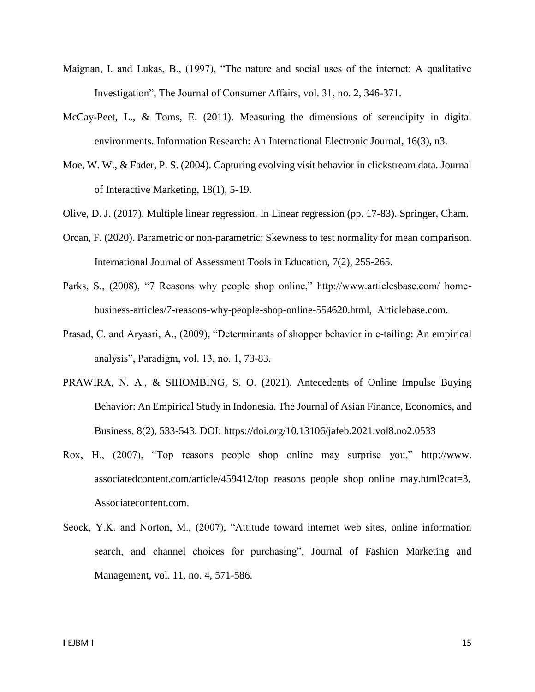- Maignan, I. and Lukas, B., (1997), "The nature and social uses of the internet: A qualitative Investigation", The Journal of Consumer Affairs, vol. 31, no. 2, 346-371.
- McCay-Peet, L., & Toms, E. (2011). Measuring the dimensions of serendipity in digital environments. Information Research: An International Electronic Journal, 16(3), n3.
- Moe, W. W., & Fader, P. S. (2004). Capturing evolving visit behavior in clickstream data. Journal of Interactive Marketing, 18(1), 5-19.
- Olive, D. J. (2017). Multiple linear regression. In Linear regression (pp. 17-83). Springer, Cham.
- Orcan, F. (2020). Parametric or non-parametric: Skewness to test normality for mean comparison. International Journal of Assessment Tools in Education, 7(2), 255-265.
- Parks, S., (2008), "7 Reasons why people shop online," http://www.articlesbase.com/ homebusiness-articles/7-reasons-why-people-shop-online-554620.html, Articlebase.com.
- Prasad, C. and Aryasri, A., (2009), "Determinants of shopper behavior in e-tailing: An empirical analysis", Paradigm, vol. 13, no. 1, 73-83.
- PRAWIRA, N. A., & SIHOMBING, S. O. (2021). Antecedents of Online Impulse Buying Behavior: An Empirical Study in Indonesia. The Journal of Asian Finance, Economics, and Business, 8(2), 533-543. DOI: https://doi.org/10.13106/jafeb.2021.vol8.no2.0533
- Rox, H., (2007), "Top reasons people shop online may surprise you," http://www. associatedcontent.com/article/459412/top\_reasons\_people\_shop\_online\_may.html?cat=3, Associatecontent.com.
- Seock, Y.K. and Norton, M., (2007), "Attitude toward internet web sites, online information search, and channel choices for purchasing", Journal of Fashion Marketing and Management, vol. 11, no. 4, 571-586.